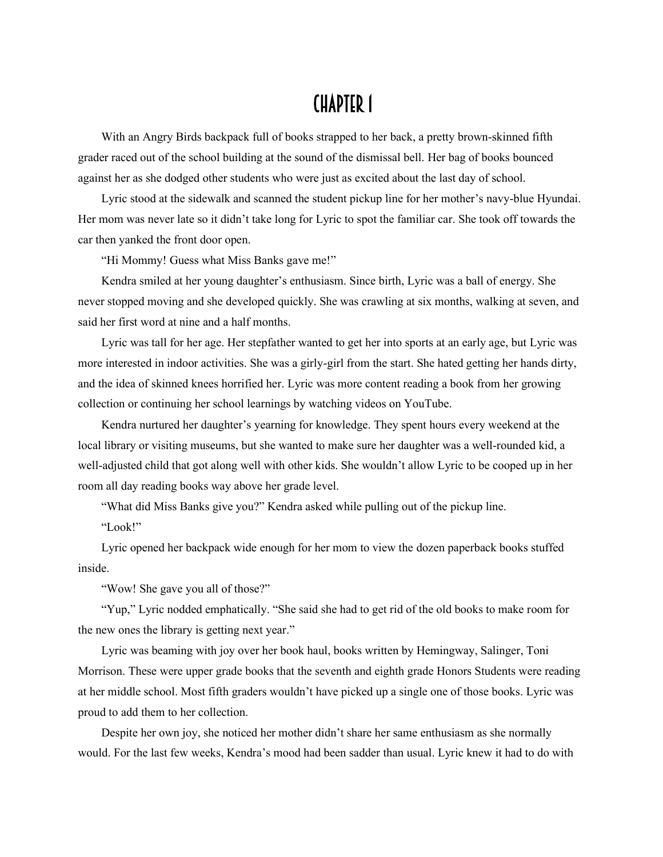## CHAPTER 1

With an Angry Birds backpack full of books strapped to her back, a pretty brown-skinned fifth grader raced out of the school building at the sound of the dismissal bell. Her bag of books bounced against her as she dodged other students who were just as excited about the last day of school.

Lyric stood at the sidewalk and scanned the student pickup line for her mother's navy-blue Hyundai. Her mom was never late so it didn't take long for Lyric to spot the familiar car. She took off towards the car then yanked the front door open.

"Hi Mommy! Guess what Miss Banks gave me!"

Kendra smiled at her young daughter's enthusiasm. Since birth, Lyric was a ball of energy. She never stopped moving and she developed quickly. She was crawling at six months, walking at seven, and said her first word at nine and a half months.

Lyric was tall for her age. Her stepfather wanted to get her into sports at an early age, but Lyric was more interested in indoor activities. She was a girly-girl from the start. She hated getting her hands dirty, and the idea of skinned knees horrified her. Lyric was more content reading a book from her growing collection or continuing her school learnings by watching videos on YouTube.

Kendra nurtured her daughter's yearning for knowledge. They spent hours every weekend at the local library or visiting museums, but she wanted to make sure her daughter was a well-rounded kid, a well-adjusted child that got along well with other kids. She wouldn't allow Lyric to be cooped up in her room all day reading books way above her grade level.

"What did Miss Banks give you?" Kendra asked while pulling out of the pickup line.

"Look!"

Lyric opened her backpack wide enough for her mom to view the dozen paperback books stuffed inside.

"Wow! She gave you all of those?"

"Yup," Lyric nodded emphatically. "She said she had to get rid of the old books to make room for the new ones the library is getting next year."

Lyric was beaming with joy over her book haul, books written by Hemingway, Salinger, Toni Morrison. These were upper grade books that the seventh and eighth grade Honors Students were reading at her middle school. Most fifth graders wouldn't have picked up a single one of those books. Lyric was proud to add them to her collection.

Despite her own joy, she noticed her mother didn't share her same enthusiasm as she normally would. For the last few weeks, Kendra's mood had been sadder than usual. Lyric knew it had to do with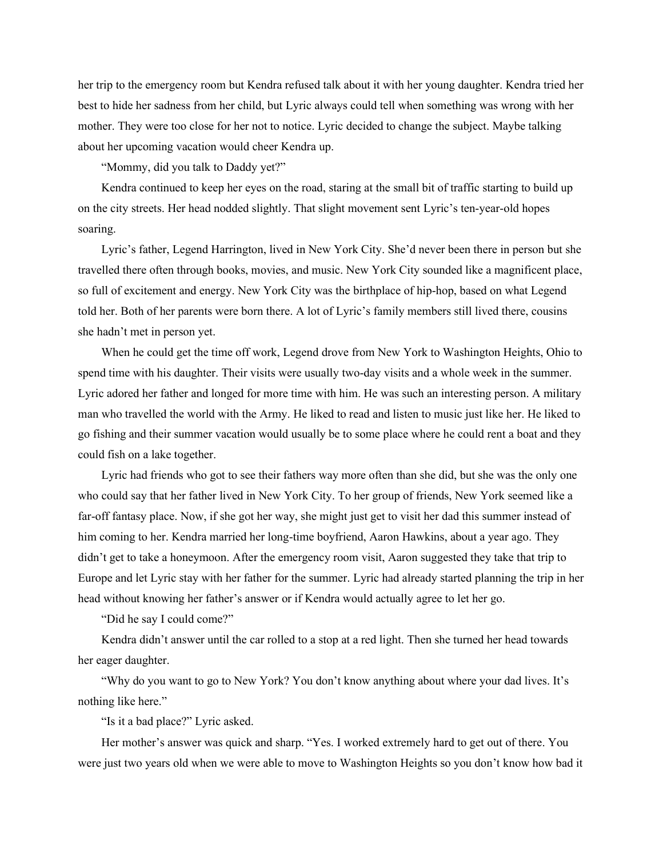her trip to the emergency room but Kendra refused talk about it with her young daughter. Kendra tried her best to hide her sadness from her child, but Lyric always could tell when something was wrong with her mother. They were too close for her not to notice. Lyric decided to change the subject. Maybe talking about her upcoming vacation would cheer Kendra up.

"Mommy, did you talk to Daddy yet?"

Kendra continued to keep her eyes on the road, staring at the small bit of traffic starting to build up on the city streets. Her head nodded slightly. That slight movement sent Lyric's ten-year-old hopes soaring.

Lyric's father, Legend Harrington, lived in New York City. She'd never been there in person but she travelled there often through books, movies, and music. New York City sounded like a magnificent place, so full of excitement and energy. New York City was the birthplace of hip-hop, based on what Legend told her. Both of her parents were born there. A lot of Lyric's family members still lived there, cousins she hadn't met in person yet.

When he could get the time off work, Legend drove from New York to Washington Heights, Ohio to spend time with his daughter. Their visits were usually two-day visits and a whole week in the summer. Lyric adored her father and longed for more time with him. He was such an interesting person. A military man who travelled the world with the Army. He liked to read and listen to music just like her. He liked to go fishing and their summer vacation would usually be to some place where he could rent a boat and they could fish on a lake together.

Lyric had friends who got to see their fathers way more often than she did, but she was the only one who could say that her father lived in New York City. To her group of friends, New York seemed like a far-off fantasy place. Now, if she got her way, she might just get to visit her dad this summer instead of him coming to her. Kendra married her long-time boyfriend, Aaron Hawkins, about a year ago. They didn't get to take a honeymoon. After the emergency room visit, Aaron suggested they take that trip to Europe and let Lyric stay with her father for the summer. Lyric had already started planning the trip in her head without knowing her father's answer or if Kendra would actually agree to let her go.

"Did he say I could come?"

Kendra didn't answer until the car rolled to a stop at a red light. Then she turned her head towards her eager daughter.

"Why do you want to go to New York? You don't know anything about where your dad lives. It's nothing like here."

"Is it a bad place?" Lyric asked.

Her mother's answer was quick and sharp. "Yes. I worked extremely hard to get out of there. You were just two years old when we were able to move to Washington Heights so you don't know how bad it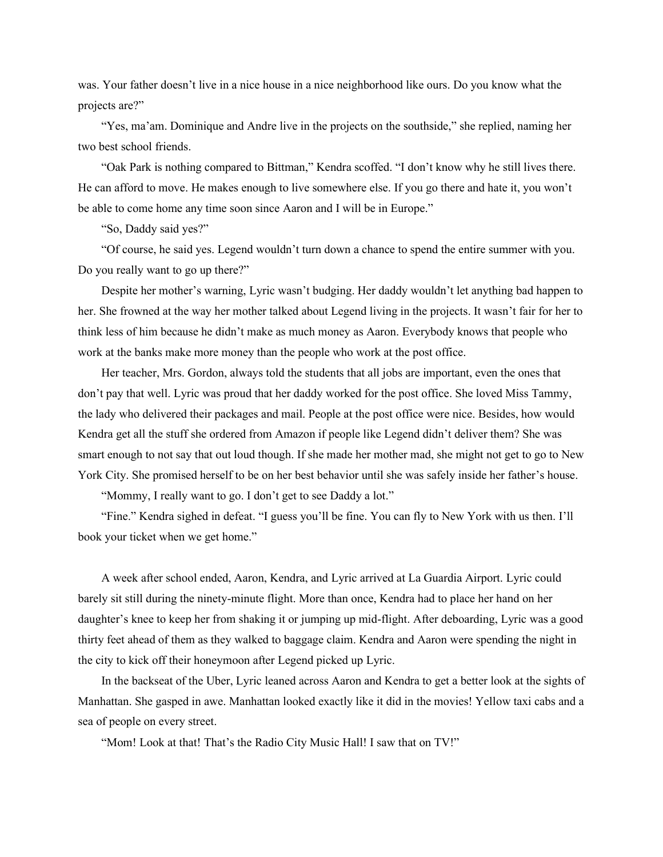was. Your father doesn't live in a nice house in a nice neighborhood like ours. Do you know what the projects are?"

"Yes, ma'am. Dominique and Andre live in the projects on the southside," she replied, naming her two best school friends.

"Oak Park is nothing compared to Bittman," Kendra scoffed. "I don't know why he still lives there. He can afford to move. He makes enough to live somewhere else. If you go there and hate it, you won't be able to come home any time soon since Aaron and I will be in Europe."

"So, Daddy said yes?"

"Of course, he said yes. Legend wouldn't turn down a chance to spend the entire summer with you. Do you really want to go up there?"

Despite her mother's warning, Lyric wasn't budging. Her daddy wouldn't let anything bad happen to her. She frowned at the way her mother talked about Legend living in the projects. It wasn't fair for her to think less of him because he didn't make as much money as Aaron. Everybody knows that people who work at the banks make more money than the people who work at the post office.

Her teacher, Mrs. Gordon, always told the students that all jobs are important, even the ones that don't pay that well. Lyric was proud that her daddy worked for the post office. She loved Miss Tammy, the lady who delivered their packages and mail. People at the post office were nice. Besides, how would Kendra get all the stuff she ordered from Amazon if people like Legend didn't deliver them? She was smart enough to not say that out loud though. If she made her mother mad, she might not get to go to New York City. She promised herself to be on her best behavior until she was safely inside her father's house.

"Mommy, I really want to go. I don't get to see Daddy a lot."

"Fine." Kendra sighed in defeat. "I guess you'll be fine. You can fly to New York with us then. I'll book your ticket when we get home."

A week after school ended, Aaron, Kendra, and Lyric arrived at La Guardia Airport. Lyric could barely sit still during the ninety-minute flight. More than once, Kendra had to place her hand on her daughter's knee to keep her from shaking it or jumping up mid-flight. After deboarding, Lyric was a good thirty feet ahead of them as they walked to baggage claim. Kendra and Aaron were spending the night in the city to kick off their honeymoon after Legend picked up Lyric.

In the backseat of the Uber, Lyric leaned across Aaron and Kendra to get a better look at the sights of Manhattan. She gasped in awe. Manhattan looked exactly like it did in the movies! Yellow taxi cabs and a sea of people on every street.

"Mom! Look at that! That's the Radio City Music Hall! I saw that on TV!"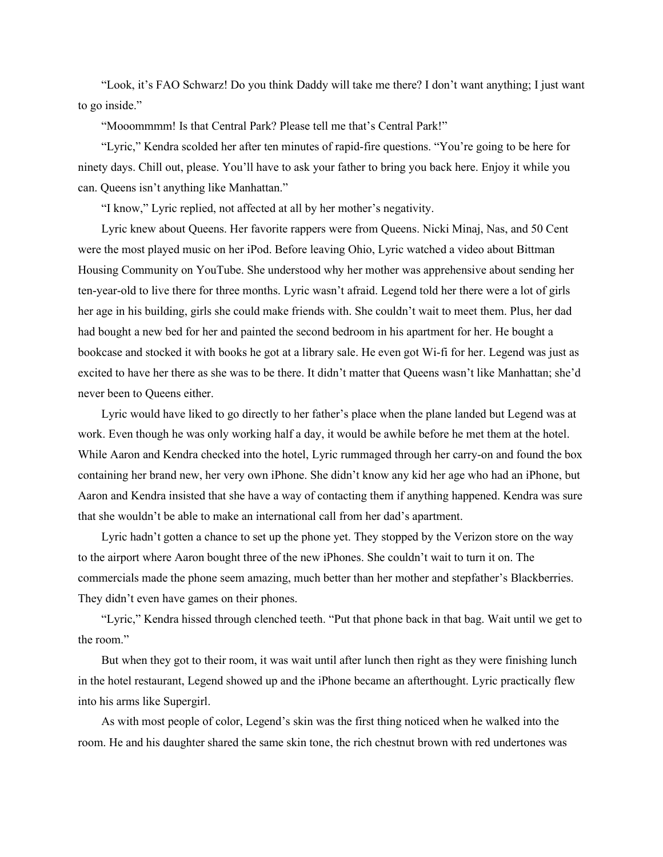"Look, it's FAO Schwarz! Do you think Daddy will take me there? I don't want anything; I just want to go inside."

"Mooommmm! Is that Central Park? Please tell me that's Central Park!"

"Lyric," Kendra scolded her after ten minutes of rapid-fire questions. "You're going to be here for ninety days. Chill out, please. You'll have to ask your father to bring you back here. Enjoy it while you can. Queens isn't anything like Manhattan."

"I know," Lyric replied, not affected at all by her mother's negativity.

Lyric knew about Queens. Her favorite rappers were from Queens. Nicki Minaj, Nas, and 50 Cent were the most played music on her iPod. Before leaving Ohio, Lyric watched a video about Bittman Housing Community on YouTube. She understood why her mother was apprehensive about sending her ten-year-old to live there for three months. Lyric wasn't afraid. Legend told her there were a lot of girls her age in his building, girls she could make friends with. She couldn't wait to meet them. Plus, her dad had bought a new bed for her and painted the second bedroom in his apartment for her. He bought a bookcase and stocked it with books he got at a library sale. He even got Wi-fi for her. Legend was just as excited to have her there as she was to be there. It didn't matter that Queens wasn't like Manhattan; she'd never been to Queens either.

Lyric would have liked to go directly to her father's place when the plane landed but Legend was at work. Even though he was only working half a day, it would be awhile before he met them at the hotel. While Aaron and Kendra checked into the hotel, Lyric rummaged through her carry-on and found the box containing her brand new, her very own iPhone. She didn't know any kid her age who had an iPhone, but Aaron and Kendra insisted that she have a way of contacting them if anything happened. Kendra was sure that she wouldn't be able to make an international call from her dad's apartment.

Lyric hadn't gotten a chance to set up the phone yet. They stopped by the Verizon store on the way to the airport where Aaron bought three of the new iPhones. She couldn't wait to turn it on. The commercials made the phone seem amazing, much better than her mother and stepfather's Blackberries. They didn't even have games on their phones.

"Lyric," Kendra hissed through clenched teeth. "Put that phone back in that bag. Wait until we get to the room."

But when they got to their room, it was wait until after lunch then right as they were finishing lunch in the hotel restaurant, Legend showed up and the iPhone became an afterthought. Lyric practically flew into his arms like Supergirl.

As with most people of color, Legend's skin was the first thing noticed when he walked into the room. He and his daughter shared the same skin tone, the rich chestnut brown with red undertones was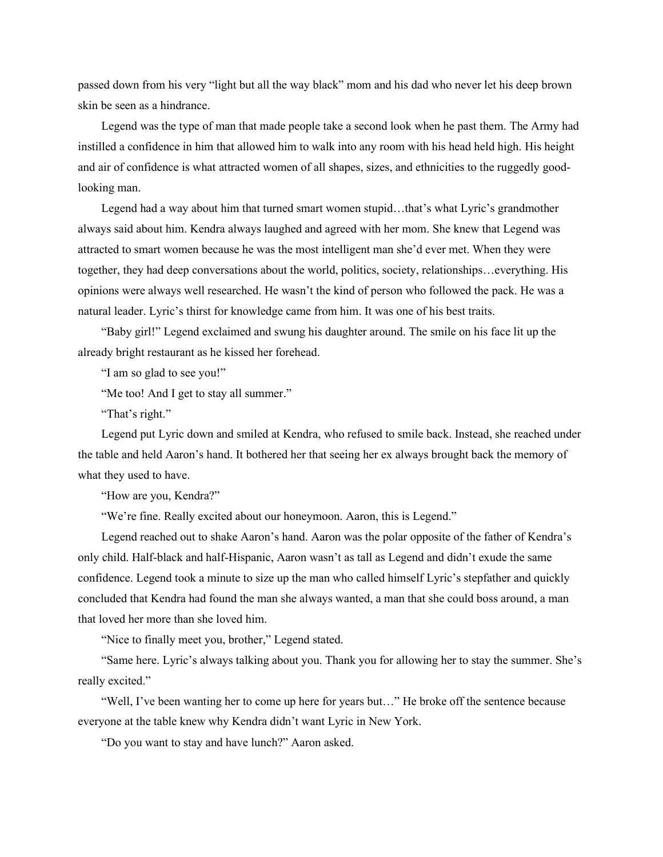passed down from his very "light but all the way black" mom and his dad who never let his deep brown skin be seen as a hindrance.

Legend was the type of man that made people take a second look when he past them. The Army had instilled a confidence in him that allowed him to walk into any room with his head held high. His height and air of confidence is what attracted women of all shapes, sizes, and ethnicities to the ruggedly goodlooking man.

Legend had a way about him that turned smart women stupid…that's what Lyric's grandmother always said about him. Kendra always laughed and agreed with her mom. She knew that Legend was attracted to smart women because he was the most intelligent man she'd ever met. When they were together, they had deep conversations about the world, politics, society, relationships…everything. His opinions were always well researched. He wasn't the kind of person who followed the pack. He was a natural leader. Lyric's thirst for knowledge came from him. It was one of his best traits.

"Baby girl!" Legend exclaimed and swung his daughter around. The smile on his face lit up the already bright restaurant as he kissed her forehead.

"I am so glad to see you!"

"Me too! And I get to stay all summer."

"That's right."

Legend put Lyric down and smiled at Kendra, who refused to smile back. Instead, she reached under the table and held Aaron's hand. It bothered her that seeing her ex always brought back the memory of what they used to have.

"How are you, Kendra?"

"We're fine. Really excited about our honeymoon. Aaron, this is Legend."

Legend reached out to shake Aaron's hand. Aaron was the polar opposite of the father of Kendra's only child. Half-black and half-Hispanic, Aaron wasn't as tall as Legend and didn't exude the same confidence. Legend took a minute to size up the man who called himself Lyric's stepfather and quickly concluded that Kendra had found the man she always wanted, a man that she could boss around, a man that loved her more than she loved him.

"Nice to finally meet you, brother," Legend stated.

"Same here. Lyric's always talking about you. Thank you for allowing her to stay the summer. She's really excited."

"Well, I've been wanting her to come up here for years but…" He broke off the sentence because everyone at the table knew why Kendra didn't want Lyric in New York.

"Do you want to stay and have lunch?" Aaron asked.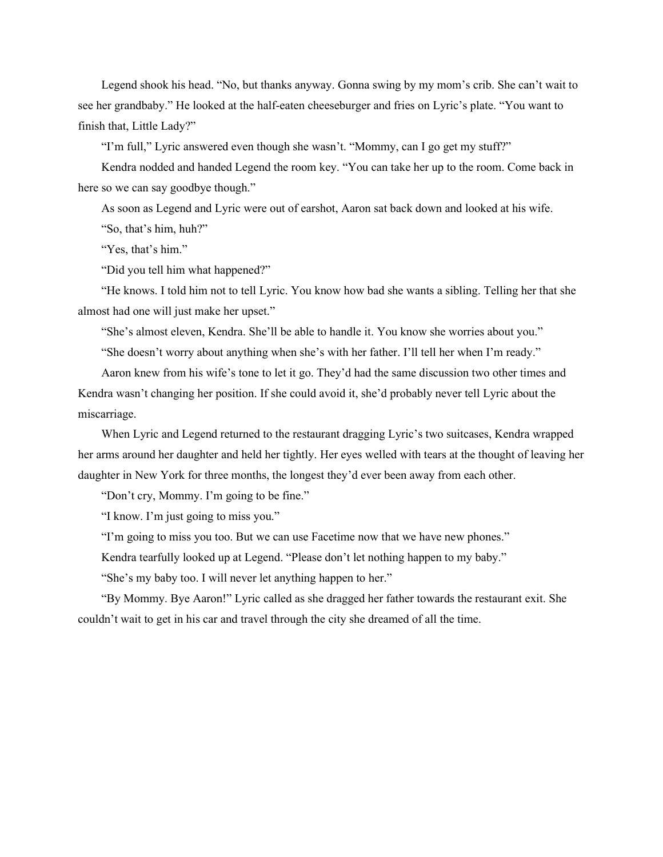Legend shook his head. "No, but thanks anyway. Gonna swing by my mom's crib. She can't wait to see her grandbaby." He looked at the half-eaten cheeseburger and fries on Lyric's plate. "You want to finish that, Little Lady?"

"I'm full," Lyric answered even though she wasn't. "Mommy, can I go get my stuff?"

Kendra nodded and handed Legend the room key. "You can take her up to the room. Come back in here so we can say goodbye though."

As soon as Legend and Lyric were out of earshot, Aaron sat back down and looked at his wife. "So, that's him, huh?"

"Yes, that's him."

"Did you tell him what happened?"

"He knows. I told him not to tell Lyric. You know how bad she wants a sibling. Telling her that she almost had one will just make her upset."

"She's almost eleven, Kendra. She'll be able to handle it. You know she worries about you."

"She doesn't worry about anything when she's with her father. I'll tell her when I'm ready."

Aaron knew from his wife's tone to let it go. They'd had the same discussion two other times and Kendra wasn't changing her position. If she could avoid it, she'd probably never tell Lyric about the miscarriage.

When Lyric and Legend returned to the restaurant dragging Lyric's two suitcases, Kendra wrapped her arms around her daughter and held her tightly. Her eyes welled with tears at the thought of leaving her daughter in New York for three months, the longest they'd ever been away from each other.

"Don't cry, Mommy. I'm going to be fine."

"I know. I'm just going to miss you."

"I'm going to miss you too. But we can use Facetime now that we have new phones."

Kendra tearfully looked up at Legend. "Please don't let nothing happen to my baby."

"She's my baby too. I will never let anything happen to her."

"By Mommy. Bye Aaron!" Lyric called as she dragged her father towards the restaurant exit. She couldn't wait to get in his car and travel through the city she dreamed of all the time.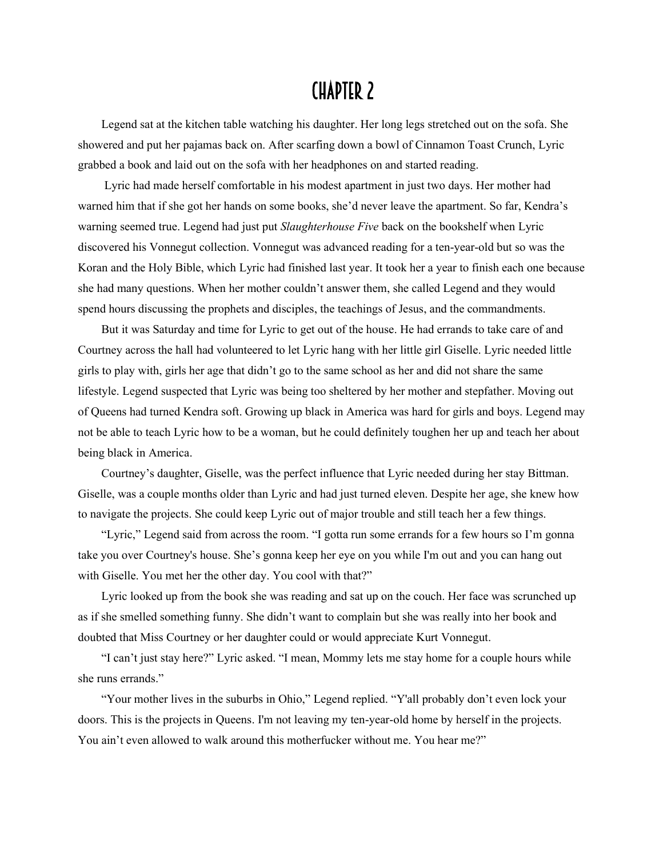## CHAPTER 2

Legend sat at the kitchen table watching his daughter. Her long legs stretched out on the sofa. She showered and put her pajamas back on. After scarfing down a bowl of Cinnamon Toast Crunch, Lyric grabbed a book and laid out on the sofa with her headphones on and started reading.

Lyric had made herself comfortable in his modest apartment in just two days. Her mother had warned him that if she got her hands on some books, she'd never leave the apartment. So far, Kendra's warning seemed true. Legend had just put *Slaughterhouse Five* back on the bookshelf when Lyric discovered his Vonnegut collection. Vonnegut was advanced reading for a ten-year-old but so was the Koran and the Holy Bible, which Lyric had finished last year. It took her a year to finish each one because she had many questions. When her mother couldn't answer them, she called Legend and they would spend hours discussing the prophets and disciples, the teachings of Jesus, and the commandments.

But it was Saturday and time for Lyric to get out of the house. He had errands to take care of and Courtney across the hall had volunteered to let Lyric hang with her little girl Giselle. Lyric needed little girls to play with, girls her age that didn't go to the same school as her and did not share the same lifestyle. Legend suspected that Lyric was being too sheltered by her mother and stepfather. Moving out of Queens had turned Kendra soft. Growing up black in America was hard for girls and boys. Legend may not be able to teach Lyric how to be a woman, but he could definitely toughen her up and teach her about being black in America.

Courtney's daughter, Giselle, was the perfect influence that Lyric needed during her stay Bittman. Giselle, was a couple months older than Lyric and had just turned eleven. Despite her age, she knew how to navigate the projects. She could keep Lyric out of major trouble and still teach her a few things.

"Lyric," Legend said from across the room. "I gotta run some errands for a few hours so I'm gonna take you over Courtney's house. She's gonna keep her eye on you while I'm out and you can hang out with Giselle. You met her the other day. You cool with that?"

Lyric looked up from the book she was reading and sat up on the couch. Her face was scrunched up as if she smelled something funny. She didn't want to complain but she was really into her book and doubted that Miss Courtney or her daughter could or would appreciate Kurt Vonnegut.

"I can't just stay here?" Lyric asked. "I mean, Mommy lets me stay home for a couple hours while she runs errands."

"Your mother lives in the suburbs in Ohio," Legend replied. "Y'all probably don't even lock your doors. This is the projects in Queens. I'm not leaving my ten-year-old home by herself in the projects. You ain't even allowed to walk around this motherfucker without me. You hear me?"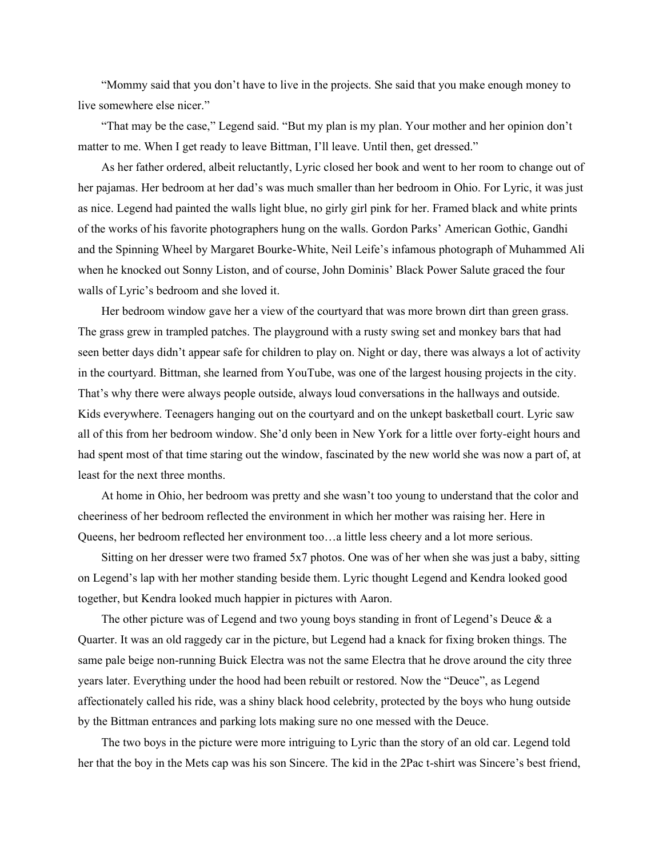"Mommy said that you don't have to live in the projects. She said that you make enough money to live somewhere else nicer."

"That may be the case," Legend said. "But my plan is my plan. Your mother and her opinion don't matter to me. When I get ready to leave Bittman, I'll leave. Until then, get dressed."

As her father ordered, albeit reluctantly, Lyric closed her book and went to her room to change out of her pajamas. Her bedroom at her dad's was much smaller than her bedroom in Ohio. For Lyric, it was just as nice. Legend had painted the walls light blue, no girly girl pink for her. Framed black and white prints of the works of his favorite photographers hung on the walls. Gordon Parks' American Gothic, Gandhi and the Spinning Wheel by Margaret Bourke-White, Neil Leife's infamous photograph of Muhammed Ali when he knocked out Sonny Liston, and of course, John Dominis' Black Power Salute graced the four walls of Lyric's bedroom and she loved it.

Her bedroom window gave her a view of the courtyard that was more brown dirt than green grass. The grass grew in trampled patches. The playground with a rusty swing set and monkey bars that had seen better days didn't appear safe for children to play on. Night or day, there was always a lot of activity in the courtyard. Bittman, she learned from YouTube, was one of the largest housing projects in the city. That's why there were always people outside, always loud conversations in the hallways and outside. Kids everywhere. Teenagers hanging out on the courtyard and on the unkept basketball court. Lyric saw all of this from her bedroom window. She'd only been in New York for a little over forty-eight hours and had spent most of that time staring out the window, fascinated by the new world she was now a part of, at least for the next three months.

At home in Ohio, her bedroom was pretty and she wasn't too young to understand that the color and cheeriness of her bedroom reflected the environment in which her mother was raising her. Here in Queens, her bedroom reflected her environment too…a little less cheery and a lot more serious.

Sitting on her dresser were two framed 5x7 photos. One was of her when she was just a baby, sitting on Legend's lap with her mother standing beside them. Lyric thought Legend and Kendra looked good together, but Kendra looked much happier in pictures with Aaron.

The other picture was of Legend and two young boys standing in front of Legend's Deuce  $\&$  a Quarter. It was an old raggedy car in the picture, but Legend had a knack for fixing broken things. The same pale beige non-running Buick Electra was not the same Electra that he drove around the city three years later. Everything under the hood had been rebuilt or restored. Now the "Deuce", as Legend affectionately called his ride, was a shiny black hood celebrity, protected by the boys who hung outside by the Bittman entrances and parking lots making sure no one messed with the Deuce.

The two boys in the picture were more intriguing to Lyric than the story of an old car. Legend told her that the boy in the Mets cap was his son Sincere. The kid in the 2Pac t-shirt was Sincere's best friend,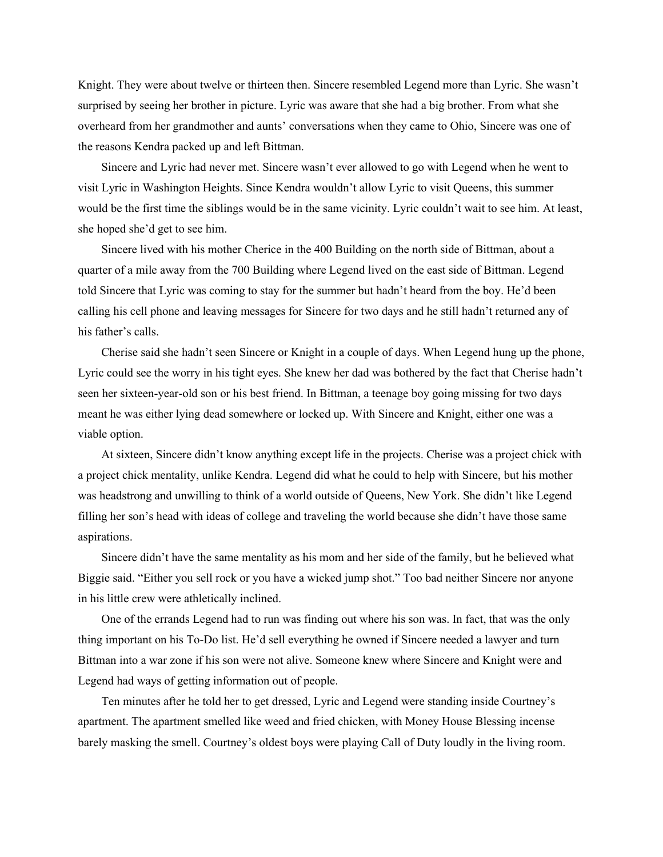Knight. They were about twelve or thirteen then. Sincere resembled Legend more than Lyric. She wasn't surprised by seeing her brother in picture. Lyric was aware that she had a big brother. From what she overheard from her grandmother and aunts' conversations when they came to Ohio, Sincere was one of the reasons Kendra packed up and left Bittman.

Sincere and Lyric had never met. Sincere wasn't ever allowed to go with Legend when he went to visit Lyric in Washington Heights. Since Kendra wouldn't allow Lyric to visit Queens, this summer would be the first time the siblings would be in the same vicinity. Lyric couldn't wait to see him. At least, she hoped she'd get to see him.

Sincere lived with his mother Cherice in the 400 Building on the north side of Bittman, about a quarter of a mile away from the 700 Building where Legend lived on the east side of Bittman. Legend told Sincere that Lyric was coming to stay for the summer but hadn't heard from the boy. He'd been calling his cell phone and leaving messages for Sincere for two days and he still hadn't returned any of his father's calls.

Cherise said she hadn't seen Sincere or Knight in a couple of days. When Legend hung up the phone, Lyric could see the worry in his tight eyes. She knew her dad was bothered by the fact that Cherise hadn't seen her sixteen-year-old son or his best friend. In Bittman, a teenage boy going missing for two days meant he was either lying dead somewhere or locked up. With Sincere and Knight, either one was a viable option.

At sixteen, Sincere didn't know anything except life in the projects. Cherise was a project chick with a project chick mentality, unlike Kendra. Legend did what he could to help with Sincere, but his mother was headstrong and unwilling to think of a world outside of Queens, New York. She didn't like Legend filling her son's head with ideas of college and traveling the world because she didn't have those same aspirations.

Sincere didn't have the same mentality as his mom and her side of the family, but he believed what Biggie said. "Either you sell rock or you have a wicked jump shot." Too bad neither Sincere nor anyone in his little crew were athletically inclined.

One of the errands Legend had to run was finding out where his son was. In fact, that was the only thing important on his To-Do list. He'd sell everything he owned if Sincere needed a lawyer and turn Bittman into a war zone if his son were not alive. Someone knew where Sincere and Knight were and Legend had ways of getting information out of people.

Ten minutes after he told her to get dressed, Lyric and Legend were standing inside Courtney's apartment. The apartment smelled like weed and fried chicken, with Money House Blessing incense barely masking the smell. Courtney's oldest boys were playing Call of Duty loudly in the living room.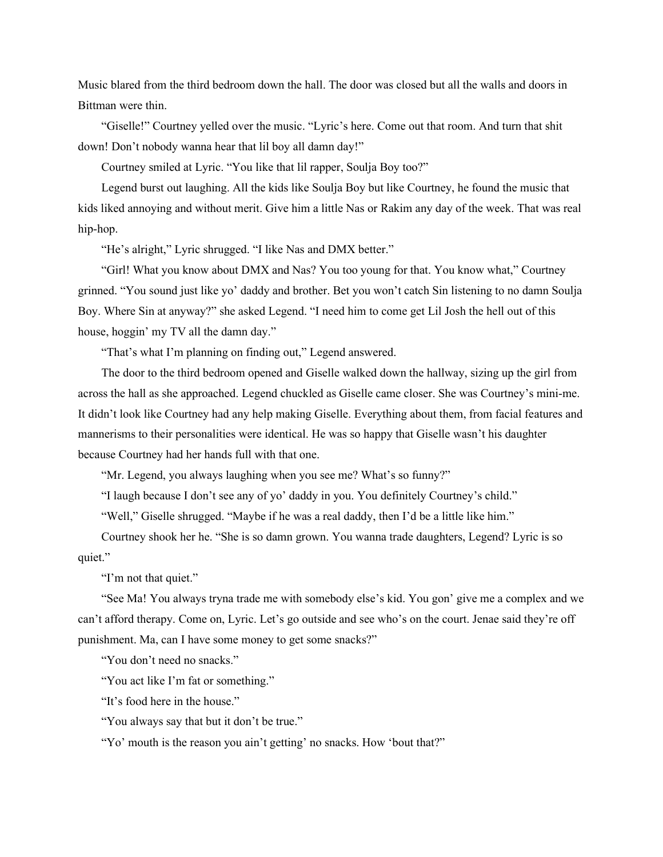Music blared from the third bedroom down the hall. The door was closed but all the walls and doors in Bittman were thin.

"Giselle!" Courtney yelled over the music. "Lyric's here. Come out that room. And turn that shit down! Don't nobody wanna hear that lil boy all damn day!"

Courtney smiled at Lyric. "You like that lil rapper, Soulja Boy too?"

Legend burst out laughing. All the kids like Soulja Boy but like Courtney, he found the music that kids liked annoying and without merit. Give him a little Nas or Rakim any day of the week. That was real hip-hop.

"He's alright," Lyric shrugged. "I like Nas and DMX better."

"Girl! What you know about DMX and Nas? You too young for that. You know what," Courtney grinned. "You sound just like yo' daddy and brother. Bet you won't catch Sin listening to no damn Soulja Boy. Where Sin at anyway?" she asked Legend. "I need him to come get Lil Josh the hell out of this house, hoggin' my TV all the damn day."

"That's what I'm planning on finding out," Legend answered.

The door to the third bedroom opened and Giselle walked down the hallway, sizing up the girl from across the hall as she approached. Legend chuckled as Giselle came closer. She was Courtney's mini-me. It didn't look like Courtney had any help making Giselle. Everything about them, from facial features and mannerisms to their personalities were identical. He was so happy that Giselle wasn't his daughter because Courtney had her hands full with that one.

"Mr. Legend, you always laughing when you see me? What's so funny?"

"I laugh because I don't see any of yo' daddy in you. You definitely Courtney's child."

"Well," Giselle shrugged. "Maybe if he was a real daddy, then I'd be a little like him."

Courtney shook her he. "She is so damn grown. You wanna trade daughters, Legend? Lyric is so quiet."

"I'm not that quiet."

"See Ma! You always tryna trade me with somebody else's kid. You gon' give me a complex and we can't afford therapy. Come on, Lyric. Let's go outside and see who's on the court. Jenae said they're off punishment. Ma, can I have some money to get some snacks?"

"You don't need no snacks."

"You act like I'm fat or something."

"It's food here in the house."

"You always say that but it don't be true."

"Yo' mouth is the reason you ain't getting' no snacks. How 'bout that?"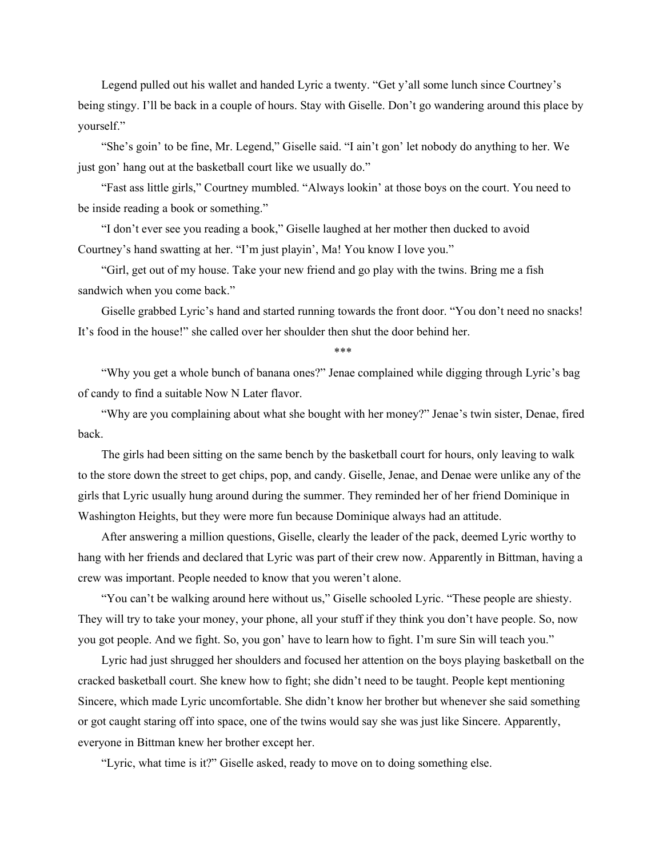Legend pulled out his wallet and handed Lyric a twenty. "Get y'all some lunch since Courtney's being stingy. I'll be back in a couple of hours. Stay with Giselle. Don't go wandering around this place by yourself."

"She's goin' to be fine, Mr. Legend," Giselle said. "I ain't gon' let nobody do anything to her. We just gon' hang out at the basketball court like we usually do."

"Fast ass little girls," Courtney mumbled. "Always lookin' at those boys on the court. You need to be inside reading a book or something."

"I don't ever see you reading a book," Giselle laughed at her mother then ducked to avoid Courtney's hand swatting at her. "I'm just playin', Ma! You know I love you."

"Girl, get out of my house. Take your new friend and go play with the twins. Bring me a fish sandwich when you come back."

Giselle grabbed Lyric's hand and started running towards the front door. "You don't need no snacks! It's food in the house!" she called over her shoulder then shut the door behind her.

\*\*\*

"Why you get a whole bunch of banana ones?" Jenae complained while digging through Lyric's bag of candy to find a suitable Now N Later flavor.

"Why are you complaining about what she bought with her money?" Jenae's twin sister, Denae, fired back.

The girls had been sitting on the same bench by the basketball court for hours, only leaving to walk to the store down the street to get chips, pop, and candy. Giselle, Jenae, and Denae were unlike any of the girls that Lyric usually hung around during the summer. They reminded her of her friend Dominique in Washington Heights, but they were more fun because Dominique always had an attitude.

After answering a million questions, Giselle, clearly the leader of the pack, deemed Lyric worthy to hang with her friends and declared that Lyric was part of their crew now. Apparently in Bittman, having a crew was important. People needed to know that you weren't alone.

"You can't be walking around here without us," Giselle schooled Lyric. "These people are shiesty. They will try to take your money, your phone, all your stuff if they think you don't have people. So, now you got people. And we fight. So, you gon' have to learn how to fight. I'm sure Sin will teach you."

Lyric had just shrugged her shoulders and focused her attention on the boys playing basketball on the cracked basketball court. She knew how to fight; she didn't need to be taught. People kept mentioning Sincere, which made Lyric uncomfortable. She didn't know her brother but whenever she said something or got caught staring off into space, one of the twins would say she was just like Sincere. Apparently, everyone in Bittman knew her brother except her.

"Lyric, what time is it?" Giselle asked, ready to move on to doing something else.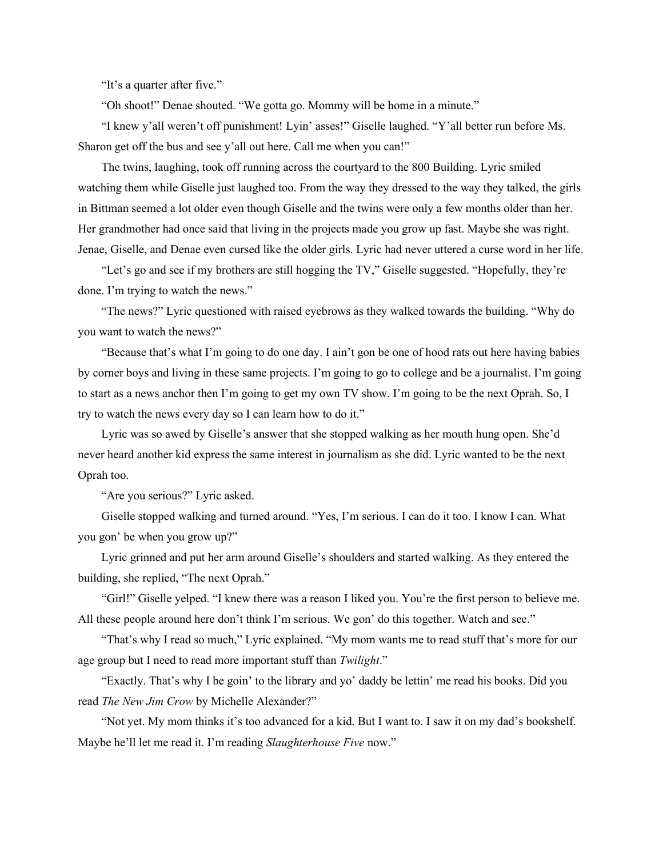"It's a quarter after five."

"Oh shoot!" Denae shouted. "We gotta go. Mommy will be home in a minute."

"I knew y'all weren't off punishment! Lyin' asses!" Giselle laughed. "Y'all better run before Ms. Sharon get off the bus and see y'all out here. Call me when you can!"

The twins, laughing, took off running across the courtyard to the 800 Building. Lyric smiled watching them while Giselle just laughed too. From the way they dressed to the way they talked, the girls in Bittman seemed a lot older even though Giselle and the twins were only a few months older than her. Her grandmother had once said that living in the projects made you grow up fast. Maybe she was right. Jenae, Giselle, and Denae even cursed like the older girls. Lyric had never uttered a curse word in her life.

"Let's go and see if my brothers are still hogging the TV," Giselle suggested. "Hopefully, they're done. I'm trying to watch the news."

"The news?" Lyric questioned with raised eyebrows as they walked towards the building. "Why do you want to watch the news?"

"Because that's what I'm going to do one day. I ain't gon be one of hood rats out here having babies by corner boys and living in these same projects. I'm going to go to college and be a journalist. I'm going to start as a news anchor then I'm going to get my own TV show. I'm going to be the next Oprah. So, I try to watch the news every day so I can learn how to do it."

Lyric was so awed by Giselle's answer that she stopped walking as her mouth hung open. She'd never heard another kid express the same interest in journalism as she did. Lyric wanted to be the next Oprah too.

"Are you serious?" Lyric asked.

Giselle stopped walking and turned around. "Yes, I'm serious. I can do it too. I know I can. What you gon' be when you grow up?"

Lyric grinned and put her arm around Giselle's shoulders and started walking. As they entered the building, she replied, "The next Oprah."

"Girl!" Giselle yelped. "I knew there was a reason I liked you. You're the first person to believe me. All these people around here don't think I'm serious. We gon' do this together. Watch and see."

"That's why I read so much," Lyric explained. "My mom wants me to read stuff that's more for our age group but I need to read more important stuff than *Twilight*."

"Exactly. That's why I be goin' to the library and yo' daddy be lettin' me read his books. Did you read *The New Jim Crow* by Michelle Alexander?"

"Not yet. My mom thinks it's too advanced for a kid. But I want to. I saw it on my dad's bookshelf. Maybe he'll let me read it. I'm reading *Slaughterhouse Five* now."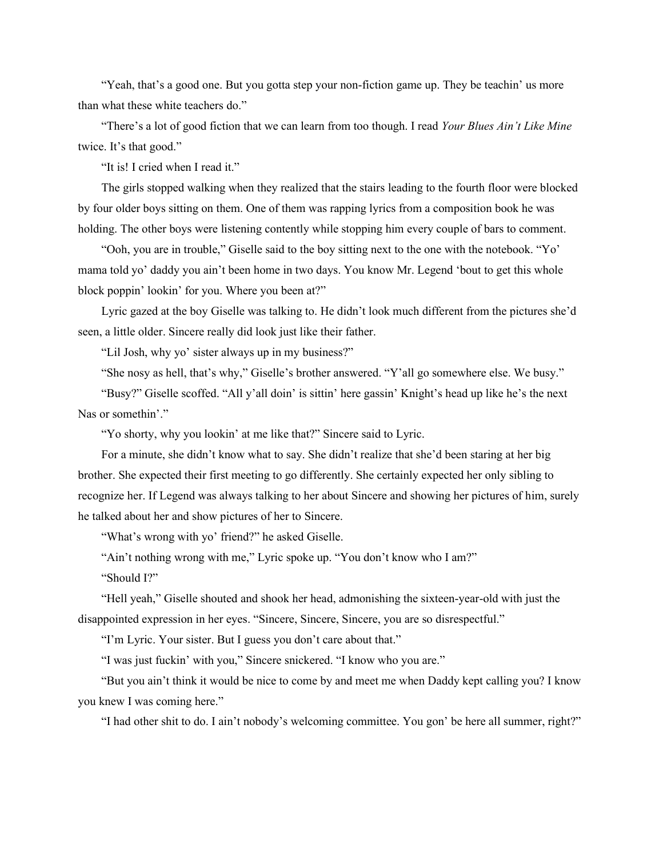"Yeah, that's a good one. But you gotta step your non-fiction game up. They be teachin' us more than what these white teachers do."

"There's a lot of good fiction that we can learn from too though. I read *Your Blues Ain't Like Mine* twice. It's that good."

"It is! I cried when I read it."

The girls stopped walking when they realized that the stairs leading to the fourth floor were blocked by four older boys sitting on them. One of them was rapping lyrics from a composition book he was holding. The other boys were listening contently while stopping him every couple of bars to comment.

"Ooh, you are in trouble," Giselle said to the boy sitting next to the one with the notebook. "Yo' mama told yo' daddy you ain't been home in two days. You know Mr. Legend 'bout to get this whole block poppin' lookin' for you. Where you been at?"

Lyric gazed at the boy Giselle was talking to. He didn't look much different from the pictures she'd seen, a little older. Sincere really did look just like their father.

"Lil Josh, why yo' sister always up in my business?"

"She nosy as hell, that's why," Giselle's brother answered. "Y'all go somewhere else. We busy."

"Busy?" Giselle scoffed. "All y'all doin' is sittin' here gassin' Knight's head up like he's the next Nas or somethin'."

"Yo shorty, why you lookin' at me like that?" Sincere said to Lyric.

For a minute, she didn't know what to say. She didn't realize that she'd been staring at her big brother. She expected their first meeting to go differently. She certainly expected her only sibling to recognize her. If Legend was always talking to her about Sincere and showing her pictures of him, surely he talked about her and show pictures of her to Sincere.

"What's wrong with yo' friend?" he asked Giselle.

"Ain't nothing wrong with me," Lyric spoke up. "You don't know who I am?"

"Should I?"

"Hell yeah," Giselle shouted and shook her head, admonishing the sixteen-year-old with just the disappointed expression in her eyes. "Sincere, Sincere, Sincere, you are so disrespectful."

"I'm Lyric. Your sister. But I guess you don't care about that."

"I was just fuckin' with you," Sincere snickered. "I know who you are."

"But you ain't think it would be nice to come by and meet me when Daddy kept calling you? I know you knew I was coming here."

"I had other shit to do. I ain't nobody's welcoming committee. You gon' be here all summer, right?"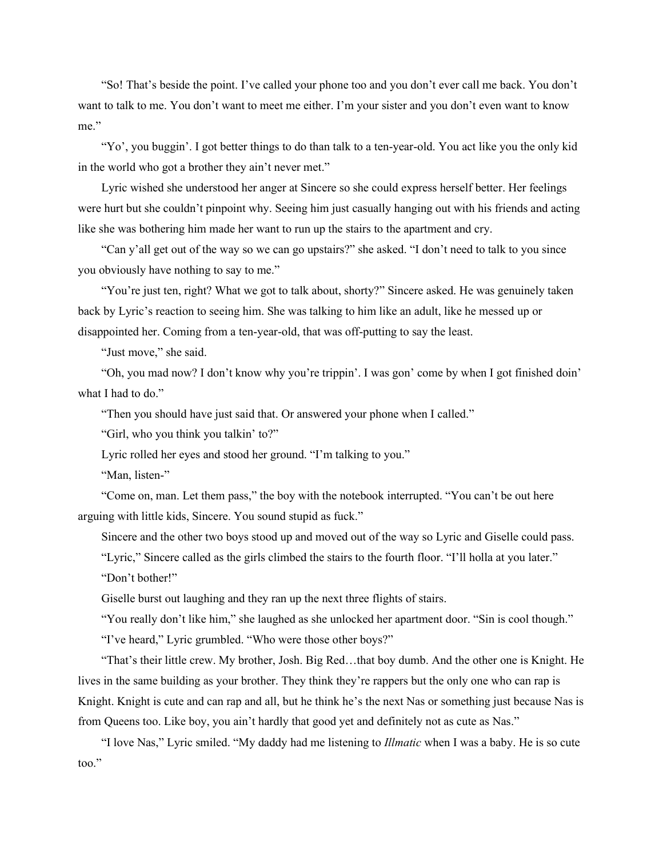"So! That's beside the point. I've called your phone too and you don't ever call me back. You don't want to talk to me. You don't want to meet me either. I'm your sister and you don't even want to know me."

"Yo', you buggin'. I got better things to do than talk to a ten-year-old. You act like you the only kid in the world who got a brother they ain't never met."

Lyric wished she understood her anger at Sincere so she could express herself better. Her feelings were hurt but she couldn't pinpoint why. Seeing him just casually hanging out with his friends and acting like she was bothering him made her want to run up the stairs to the apartment and cry.

"Can y'all get out of the way so we can go upstairs?" she asked. "I don't need to talk to you since you obviously have nothing to say to me."

"You're just ten, right? What we got to talk about, shorty?" Sincere asked. He was genuinely taken back by Lyric's reaction to seeing him. She was talking to him like an adult, like he messed up or disappointed her. Coming from a ten-year-old, that was off-putting to say the least.

"Just move," she said.

"Oh, you mad now? I don't know why you're trippin'. I was gon' come by when I got finished doin' what I had to do."

"Then you should have just said that. Or answered your phone when I called."

"Girl, who you think you talkin' to?"

Lyric rolled her eyes and stood her ground. "I'm talking to you."

"Man, listen-"

"Come on, man. Let them pass," the boy with the notebook interrupted. "You can't be out here arguing with little kids, Sincere. You sound stupid as fuck."

Sincere and the other two boys stood up and moved out of the way so Lyric and Giselle could pass.

"Lyric," Sincere called as the girls climbed the stairs to the fourth floor. "I'll holla at you later."

"Don't bother!"

Giselle burst out laughing and they ran up the next three flights of stairs.

"You really don't like him," she laughed as she unlocked her apartment door. "Sin is cool though."

"I've heard," Lyric grumbled. "Who were those other boys?"

"That's their little crew. My brother, Josh. Big Red…that boy dumb. And the other one is Knight. He lives in the same building as your brother. They think they're rappers but the only one who can rap is Knight. Knight is cute and can rap and all, but he think he's the next Nas or something just because Nas is from Queens too. Like boy, you ain't hardly that good yet and definitely not as cute as Nas."

"I love Nas," Lyric smiled. "My daddy had me listening to *Illmatic* when I was a baby. He is so cute too."